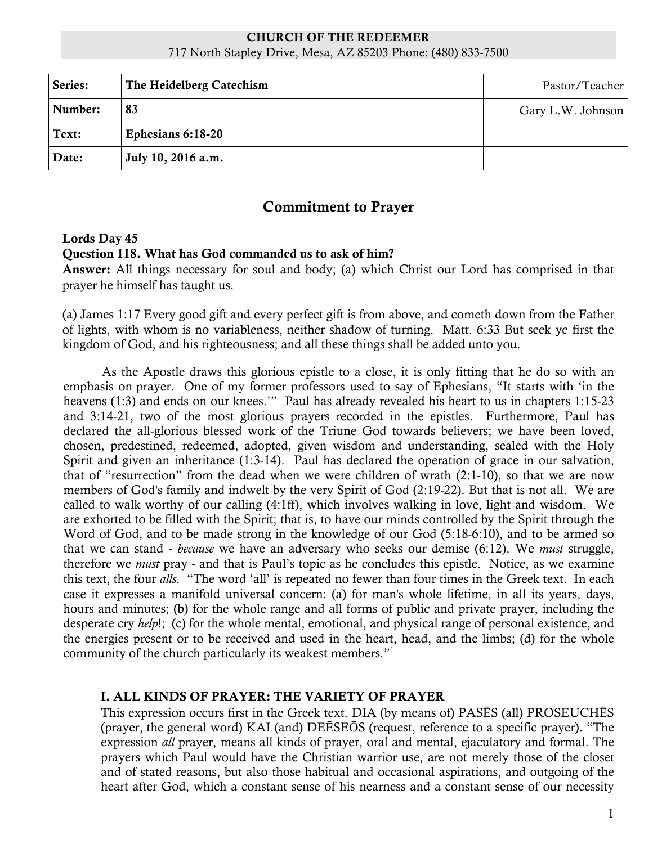# CHURCH OF THE REDEEMER

717 North Stapley Drive, Mesa, AZ 85203 Phone: (480) 833-7500

| Series: | The Heidelberg Catechism | Pastor/Teacher    |
|---------|--------------------------|-------------------|
| Number: | 83                       | Gary L.W. Johnson |
| Text:   | Ephesians 6:18-20        |                   |
| Date:   | July 10, 2016 a.m.       |                   |

# Commitment to Prayer

#### Lords Day 45

#### Question 118. What has God commanded us to ask of him?

Answer: All things necessary for soul and body; (a) which Christ our Lord has comprised in that prayer he himself has taught us.

(a) James 1:17 Every good gift and every perfect gift is from above, and cometh down from the Father of lights, with whom is no variableness, neither shadow of turning. Matt. 6:33 But seek ye first the kingdom of God, and his righteousness; and all these things shall be added unto you.

As the Apostle draws this glorious epistle to a close, it is only fitting that he do so with an emphasis on prayer. One of my former professors used to say of Ephesians, "It starts with 'in the heavens (1:3) and ends on our knees.'" Paul has already revealed his heart to us in chapters 1:15-23 and 3:14-21, two of the most glorious prayers recorded in the epistles. Furthermore, Paul has declared the all-glorious blessed work of the Triune God towards believers; we have been loved, chosen, predestined, redeemed, adopted, given wisdom and understanding, sealed with the Holy Spirit and given an inheritance (1:3-14). Paul has declared the operation of grace in our salvation, that of "resurrection" from the dead when we were children of wrath (2:1-10), so that we are now members of God's family and indwelt by the very Spirit of God (2:19-22). But that is not all. We are called to walk worthy of our calling (4:1ff), which involves walking in love, light and wisdom. We are exhorted to be filled with the Spirit; that is, to have our minds controlled by the Spirit through the Word of God, and to be made strong in the knowledge of our God (5:18-6:10), and to be armed so that we can stand - *because* we have an adversary who seeks our demise (6:12). We *must* struggle, therefore we *must* pray - and that is Paul's topic as he concludes this epistle. Notice, as we examine this text, the four *alls*. "The word 'all' is repeated no fewer than four times in the Greek text. In each case it expresses a manifold universal concern: (a) for man's whole lifetime, in all its years, days, hours and minutes; (b) for the whole range and all forms of public and private prayer, including the desperate cry *help*!; (c) for the whole mental, emotional, and physical range of personal existence, and the energies present or to be received and used in the heart, head, and the limbs; (d) for the whole community of the church particularly its weakest members."1

## I. ALL KINDS OF PRAYER: THE VARIETY OF PRAYER

This expression occurs first in the Greek text. DIA (by means of) PASĒS (all) PROSEUCHĒS (prayer, the general word) KAI (and) DEĒSEŌS (request, reference to a specific prayer). "The expression *all* prayer, means all kinds of prayer, oral and mental, ejaculatory and formal. The prayers which Paul would have the Christian warrior use, are not merely those of the closet and of stated reasons, but also those habitual and occasional aspirations, and outgoing of the heart after God, which a constant sense of his nearness and a constant sense of our necessity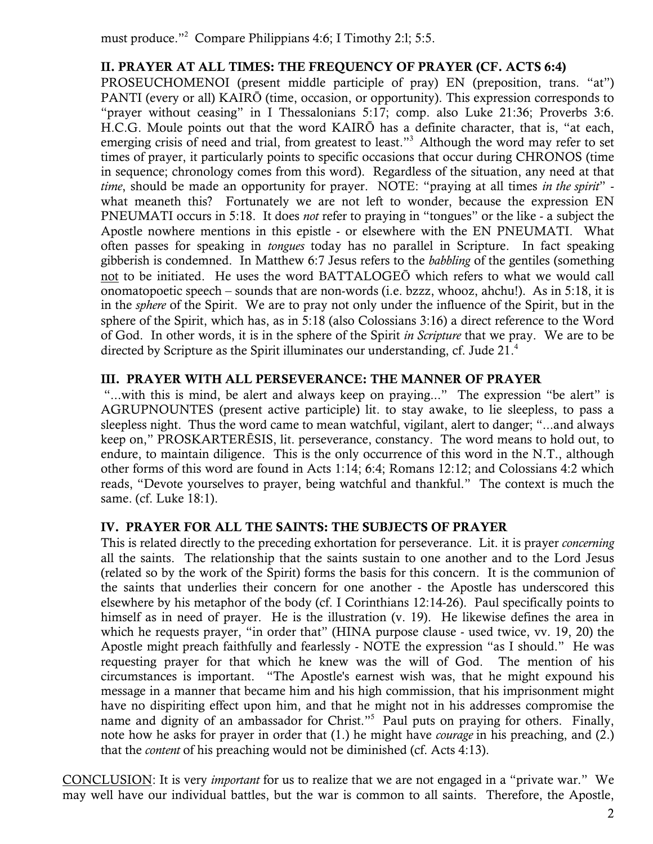must produce."2 Compare Philippians 4:6; I Timothy 2:l; 5:5.

# II. PRAYER AT ALL TIMES: THE FREQUENCY OF PRAYER (CF. ACTS 6:4)

PROSEUCHOMENOI (present middle participle of pray) EN (preposition, trans. "at") PANTI (every or all) KAIRŌ (time, occasion, or opportunity). This expression corresponds to "prayer without ceasing" in I Thessalonians 5:17; comp. also Luke 21:36; Proverbs 3:6. H.C.G. Moule points out that the word KAIRŌ has a definite character, that is, "at each, emerging crisis of need and trial, from greatest to least."<sup>3</sup> Although the word may refer to set times of prayer, it particularly points to specific occasions that occur during CHRONOS (time in sequence; chronology comes from this word). Regardless of the situation, any need at that *time*, should be made an opportunity for prayer. NOTE: "praying at all times *in the spirit*" what meaneth this? Fortunately we are not left to wonder, because the expression EN PNEUMATI occurs in 5:18. It does *not* refer to praying in "tongues" or the like - a subject the Apostle nowhere mentions in this epistle - or elsewhere with the EN PNEUMATI. What often passes for speaking in *tongues* today has no parallel in Scripture. In fact speaking gibberish is condemned. In Matthew 6:7 Jesus refers to the *babbling* of the gentiles (something not to be initiated. He uses the word BATTALOGEŌ which refers to what we would call onomatopoetic speech – sounds that are non-words (i.e. bzzz, whooz, ahchu!). As in 5:18, it is in the *sphere* of the Spirit. We are to pray not only under the influence of the Spirit, but in the sphere of the Spirit, which has, as in 5:18 (also Colossians 3:16) a direct reference to the Word of God. In other words, it is in the sphere of the Spirit *in Scripture* that we pray. We are to be directed by Scripture as the Spirit illuminates our understanding, cf. Jude 21.4

## III. PRAYER WITH ALL PERSEVERANCE: THE MANNER OF PRAYER

"...with this is mind, be alert and always keep on praying..." The expression "be alert" is AGRUPNOUNTES (present active participle) lit. to stay awake, to lie sleepless, to pass a sleepless night. Thus the word came to mean watchful, vigilant, alert to danger; "...and always keep on," PROSKARTERĒSIS, lit. perseverance, constancy. The word means to hold out, to endure, to maintain diligence. This is the only occurrence of this word in the N.T., although other forms of this word are found in Acts 1:14; 6:4; Romans 12:12; and Colossians 4:2 which reads, "Devote yourselves to prayer, being watchful and thankful." The context is much the same. (cf. Luke 18:1).

## IV. PRAYER FOR ALL THE SAINTS: THE SUBJECTS OF PRAYER

This is related directly to the preceding exhortation for perseverance. Lit. it is prayer *concerning* all the saints. The relationship that the saints sustain to one another and to the Lord Jesus (related so by the work of the Spirit) forms the basis for this concern. It is the communion of the saints that underlies their concern for one another - the Apostle has underscored this elsewhere by his metaphor of the body (cf. I Corinthians 12:14-26). Paul specifically points to himself as in need of prayer. He is the illustration (v. 19). He likewise defines the area in which he requests prayer, "in order that" (HINA purpose clause - used twice, vv. 19, 20) the Apostle might preach faithfully and fearlessly - NOTE the expression "as I should." He was requesting prayer for that which he knew was the will of God. The mention of his circumstances is important. "The Apostle's earnest wish was, that he might expound his message in a manner that became him and his high commission, that his imprisonment might have no dispiriting effect upon him, and that he might not in his addresses compromise the name and dignity of an ambassador for Christ."<sup>5</sup> Paul puts on praying for others. Finally, note how he asks for prayer in order that (1.) he might have *courage* in his preaching, and (2.) that the *content* of his preaching would not be diminished (cf. Acts 4:13).

CONCLUSION: It is very *important* for us to realize that we are not engaged in a "private war." We may well have our individual battles, but the war is common to all saints. Therefore, the Apostle,